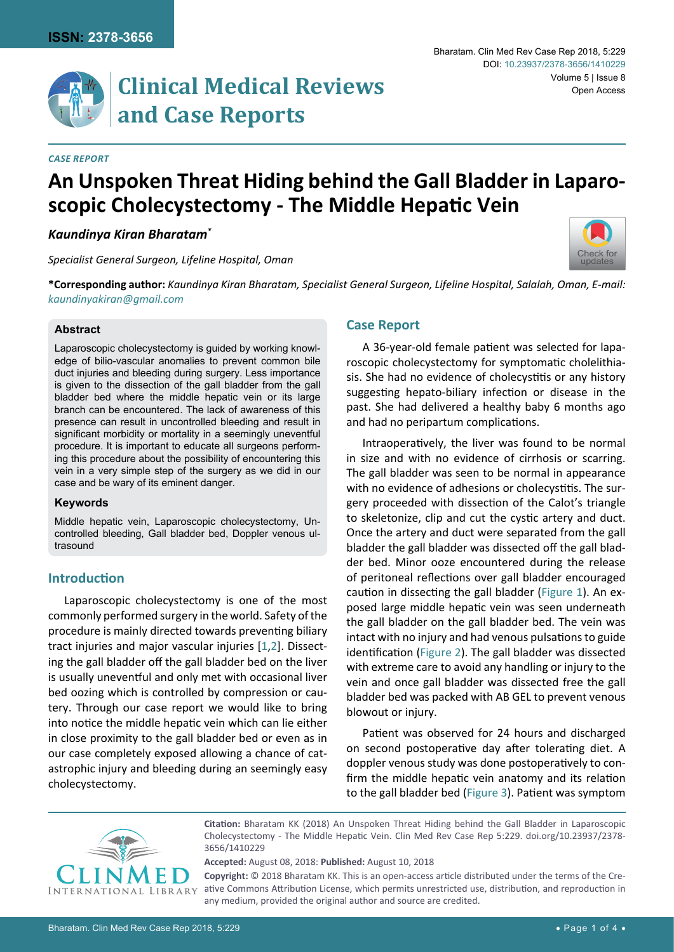

#### *Case Report*

# **An Unspoken Threat Hiding behind the Gall Bladder in Laparoscopic Cholecystectomy - The Middle Hepatic Vein**

# *Kaundinya Kiran Bharatam\**

*Specialist General Surgeon, Lifeline Hospital, Oman*



**\*Corresponding author:** *Kaundinya Kiran Bharatam, Specialist General Surgeon, Lifeline Hospital, Salalah, Oman, E-mail: kaundinyakiran@gmail.com*

#### **Abstract**

Laparoscopic cholecystectomy is guided by working knowledge of bilio-vascular anomalies to prevent common bile duct injuries and bleeding during surgery. Less importance is given to the dissection of the gall bladder from the gall bladder bed where the middle hepatic vein or its large branch can be encountered. The lack of awareness of this presence can result in uncontrolled bleeding and result in significant morbidity or mortality in a seemingly uneventful procedure. It is important to educate all surgeons performing this procedure about the possibility of encountering this vein in a very simple step of the surgery as we did in our case and be wary of its eminent danger.

#### **Keywords**

Middle hepatic vein, Laparoscopic cholecystectomy, Uncontrolled bleeding, Gall bladder bed, Doppler venous ultrasound

## **Introduction**

Laparoscopic cholecystectomy is one of the most commonly performed surgery in the world. Safety of the procedure is mainly directed towards preventing biliary tract injuries and major vascular injuries [[1,](#page-2-1)[2](#page-2-2)]. Dissecting the gall bladder off the gall bladder bed on the liver is usually uneventful and only met with occasional liver bed oozing which is controlled by compression or cautery. Through our case report we would like to bring into notice the middle hepatic vein which can lie either in close proximity to the gall bladder bed or even as in our case completely exposed allowing a chance of catastrophic injury and bleeding during an seemingly easy cholecystectomy.

## **Case Report**

A 36-year-old female patient was selected for laparoscopic cholecystectomy for symptomatic cholelithiasis. She had no evidence of cholecystitis or any history suggesting hepato-biliary infection or disease in the past. She had delivered a healthy baby 6 months ago and had no peripartum complications.

Intraoperatively, the liver was found to be normal in size and with no evidence of cirrhosis or scarring. The gall bladder was seen to be normal in appearance with no evidence of adhesions or cholecystitis. The surgery proceeded with dissection of the Calot's triangle to skeletonize, clip and cut the cystic artery and duct. Once the artery and duct were separated from the gall bladder the gall bladder was dissected off the gall bladder bed. Minor ooze encountered during the release of peritoneal reflections over gall bladder encouraged caution in dissecting the gall bladder ([Figure 1](#page-1-0)). An exposed large middle hepatic vein was seen underneath the gall bladder on the gall bladder bed. The vein was intact with no injury and had venous pulsations to guide identification ([Figure 2](#page-1-1)). The gall bladder was dissected with extreme care to avoid any handling or injury to the vein and once gall bladder was dissected free the gall bladder bed was packed with AB GEL to prevent venous blowout or injury.

Patient was observed for 24 hours and discharged on second postoperative day after tolerating diet. A doppler venous study was done postoperatively to confirm the middle hepatic vein anatomy and its relation to the gall bladder bed ([Figure 3](#page-2-0)). Patient was symptom



**Citation:** Bharatam KK (2018) An Unspoken Threat Hiding behind the Gall Bladder in Laparoscopic Cholecystectomy - The Middle Hepatic Vein. Clin Med Rev Case Rep 5:229. [doi.org/10.23937/2378-](https://doi.org/10.23937/2378-3656/1410229) [3656/1410229](https://doi.org/10.23937/2378-3656/1410229)

**Accepted:** August 08, 2018: **Published:** August 10, 2018

**Copyright:** © 2018 Bharatam KK. This is an open-access article distributed under the terms of the Creative Commons Attribution License, which permits unrestricted use, distribution, and reproduction in any medium, provided the original author and source are credited.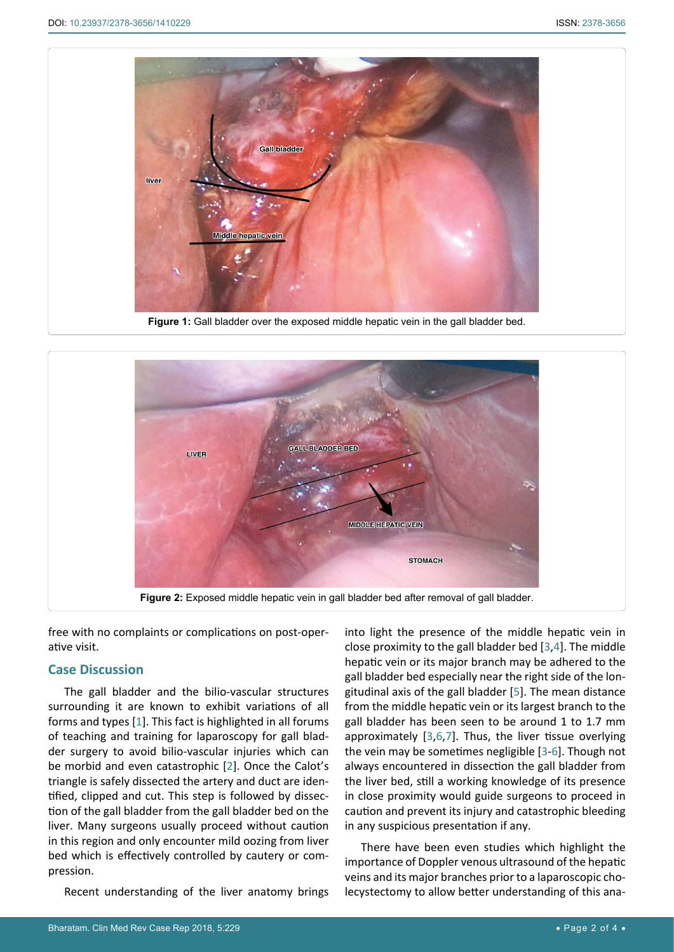<span id="page-1-0"></span>

Figure 1: Gall bladder over the exposed middle hepatic vein in the gall bladder bed.

<span id="page-1-1"></span>

free with no complaints or complications on post-operative visit.

## **Case Discussion**

The gall bladder and the bilio-vascular structures surrounding it are known to exhibit variations of all forms and types [[1](#page-2-1)]. This fact is highlighted in all forums of teaching and training for laparoscopy for gall bladder surgery to avoid bilio-vascular injuries which can be morbid and even catastrophic [[2](#page-2-2)]. Once the Calot's triangle is safely dissected the artery and duct are identified, clipped and cut. This step is followed by dissection of the gall bladder from the gall bladder bed on the liver. Many surgeons usually proceed without caution in this region and only encounter mild oozing from liver bed which is effectively controlled by cautery or compression.

Recent understanding of the liver anatomy brings

into light the presence of the middle hepatic vein in close proximity to the gall bladder bed [[3](#page-2-3),[4\]](#page-2-4). The middle hepatic vein or its major branch may be adhered to the gall bladder bed especially near the right side of the longitudinal axis of the gall bladder [[5](#page-2-5)]. The mean distance from the middle hepatic vein or its largest branch to the gall bladder has been seen to be around 1 to 1.7 mm approximately [[3](#page-2-3),[6](#page-3-0),[7](#page-3-1)]. Thus, the liver tissue overlying the vein may be sometimes negligible [\[3](#page-2-3)-[6\]](#page-3-0). Though not always encountered in dissection the gall bladder from the liver bed, still a working knowledge of its presence in close proximity would guide surgeons to proceed in caution and prevent its injury and catastrophic bleeding in any suspicious presentation if any.

There have been even studies which highlight the importance of Doppler venous ultrasound of the hepatic veins and its major branches prior to a laparoscopic cholecystectomy to allow better understanding of this ana-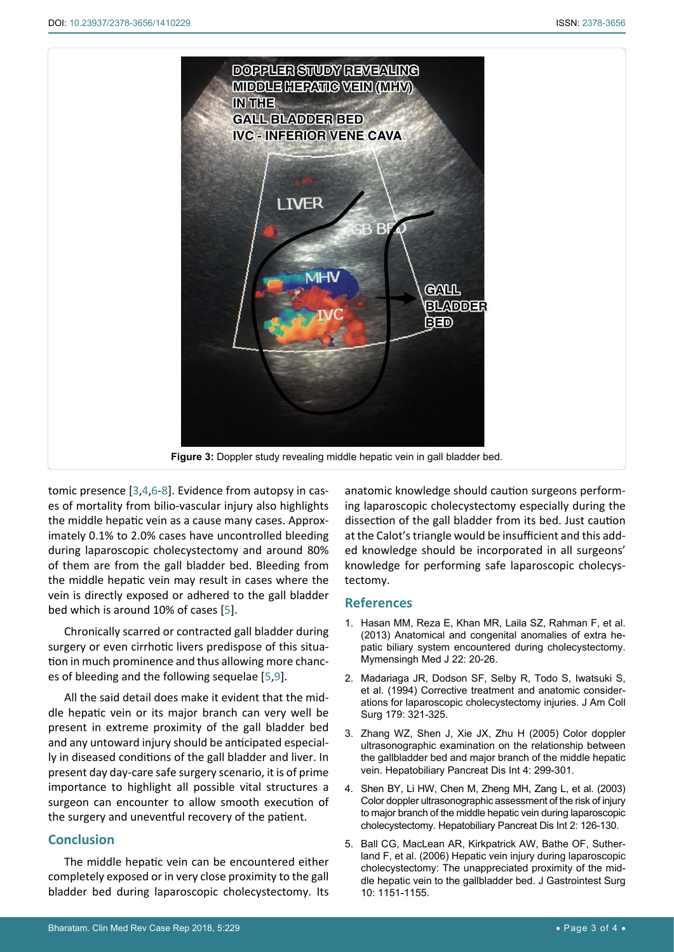<span id="page-2-0"></span>

tomic presence [\[3](#page-2-3),[4](#page-2-4),[6](#page-3-0)-[8](#page-3-2)]. Evidence from autopsy in cases of mortality from bilio-vascular injury also highlights the middle hepatic vein as a cause many cases. Approximately 0.1% to 2.0% cases have uncontrolled bleeding during laparoscopic cholecystectomy and around 80% of them are from the gall bladder bed. Bleeding from the middle hepatic vein may result in cases where the vein is directly exposed or adhered to the gall bladder bed which is around 10% of cases [\[5\]](#page-2-5).

Chronically scarred or contracted gall bladder during surgery or even cirrhotic livers predispose of this situation in much prominence and thus allowing more chances of bleeding and the following sequelae [[5](#page-2-5),[9\]](#page-3-3).

All the said detail does make it evident that the middle hepatic vein or its major branch can very well be present in extreme proximity of the gall bladder bed and any untoward injury should be anticipated especially in diseased conditions of the gall bladder and liver. In present day day-care safe surgery scenario, it is of prime importance to highlight all possible vital structures a surgeon can encounter to allow smooth execution of the surgery and uneventful recovery of the patient.

# **Conclusion**

The middle hepatic vein can be encountered either completely exposed or in very close proximity to the gall bladder bed during laparoscopic cholecystectomy. Its anatomic knowledge should caution surgeons performing laparoscopic cholecystectomy especially during the dissection of the gall bladder from its bed. Just caution at the Calot's triangle would be insufficient and this added knowledge should be incorporated in all surgeons' knowledge for performing safe laparoscopic cholecystectomy.

## **References**

- <span id="page-2-1"></span>1. [Hasan MM, Reza E, Khan MR, Laila SZ, Rahman F, et al.](https://www.ncbi.nlm.nih.gov/pubmed/23416803)  [\(2013\) Anatomical and congenital anomalies of extra he](https://www.ncbi.nlm.nih.gov/pubmed/23416803)[patic biliary system encountered during cholecystectomy.](https://www.ncbi.nlm.nih.gov/pubmed/23416803)  [Mymensingh Med J 22: 20-26.](https://www.ncbi.nlm.nih.gov/pubmed/23416803)
- <span id="page-2-2"></span>2. [Madariaga JR, Dodson SF, Selby R, Todo S, Iwatsuki S,](https://www.ncbi.nlm.nih.gov/pubmed/8069429)  [et al. \(1994\) Corrective treatment and anatomic consider](https://www.ncbi.nlm.nih.gov/pubmed/8069429)[ations for laparoscopic cholecystectomy injuries. J Am Coll](https://www.ncbi.nlm.nih.gov/pubmed/8069429)  [Surg 179: 321-325.](https://www.ncbi.nlm.nih.gov/pubmed/8069429)
- <span id="page-2-3"></span>3. [Zhang WZ, Shen J, Xie JX, Zhu H \(2005\) Color doppler](https://www.ncbi.nlm.nih.gov/pubmed/15908334)  [ultrasonographic examination on the relationship between](https://www.ncbi.nlm.nih.gov/pubmed/15908334)  [the gallbladder bed and major branch of the middle hepatic](https://www.ncbi.nlm.nih.gov/pubmed/15908334)  [vein. Hepatobiliary Pancreat Dis Int 4: 299-301.](https://www.ncbi.nlm.nih.gov/pubmed/15908334)
- <span id="page-2-4"></span>4. [Shen BY, Li HW, Chen M, Zheng MH, Zang L, et al. \(2003\)](https://www.ncbi.nlm.nih.gov/pubmed/14607664)  [Color doppler ultrasonographic assessment of the risk of injury](https://www.ncbi.nlm.nih.gov/pubmed/14607664)  [to major branch of the middle hepatic vein during laparoscopic](https://www.ncbi.nlm.nih.gov/pubmed/14607664)  [cholecystectomy. Hepatobiliary Pancreat Dis Int 2: 126-130.](https://www.ncbi.nlm.nih.gov/pubmed/14607664)
- <span id="page-2-5"></span>5. [Ball CG, MacLean AR, Kirkpatrick AW, Bathe OF, Suther](https://www.ncbi.nlm.nih.gov/pubmed/16966035)[land F, et al. \(2006\) Hepatic vein injury during laparoscopic](https://www.ncbi.nlm.nih.gov/pubmed/16966035)  [cholecystectomy: The unappreciated proximity of the mid](https://www.ncbi.nlm.nih.gov/pubmed/16966035)[dle hepatic vein to the gallbladder bed. J Gastrointest Surg](https://www.ncbi.nlm.nih.gov/pubmed/16966035)  [10: 1151-1155.](https://www.ncbi.nlm.nih.gov/pubmed/16966035)